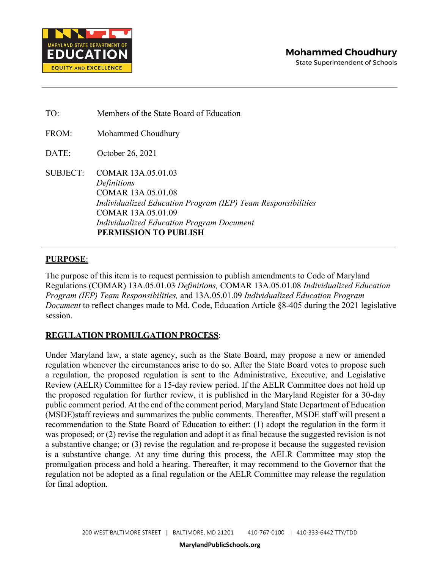

TO: Members of the State Board of Education FROM: Mohammed Choudhury DATE: October 26, 2021 SUBJECT: COMAR 13A.05.01.03 *Definitions* COMAR 13A.05.01.08 *Individualized Education Program (IEP) Team Responsibilities* COMAR 13A.05.01.09 *Individualized Education Program Document* **PERMISSION TO PUBLISH**

# **PURPOSE**:

The purpose of this item is to request permission to publish amendments to Code of Maryland Regulations (COMAR) 13A.05.01.03 *Definitions,* COMAR 13A.05.01.08 *Individualized Education Program (IEP) Team Responsibilities,* and 13A.05.01.09 *Individualized Education Program Document* to reflect changes made to Md. Code, Education Article §8-405 during the 2021 legislative session.

# **REGULATION PROMULGATION PROCESS**:

Under Maryland law, a state agency, such as the State Board, may propose a new or amended regulation whenever the circumstances arise to do so. After the State Board votes to propose such a regulation, the proposed regulation is sent to the Administrative, Executive, and Legislative Review (AELR) Committee for a 15-day review period. If the AELR Committee does not hold up the proposed regulation for further review, it is published in the Maryland Register for a 30-day public comment period. At the end of the comment period, Maryland State Department of Education (MSDE)staff reviews and summarizes the public comments. Thereafter, MSDE staff will present a recommendation to the State Board of Education to either: (1) adopt the regulation in the form it was proposed; or (2) revise the regulation and adopt it as final because the suggested revision is not a substantive change; or (3) revise the regulation and re-propose it because the suggested revision is a substantive change. At any time during this process, the AELR Committee may stop the promulgation process and hold a hearing. Thereafter, it may recommend to the Governor that the regulation not be adopted as a final regulation or the AELR Committee may release the regulation for final adoption.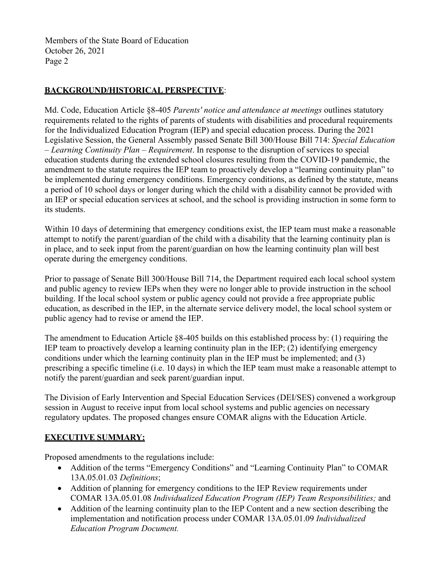Members of the State Board of Education October 26, 2021 Page 2

# **BACKGROUND/HISTORICAL PERSPECTIVE**:

Md. Code, Education Article §8-405 *Parents' notice and attendance at meetings* outlines statutory requirements related to the rights of parents of students with disabilities and procedural requirements for the Individualized Education Program (IEP) and special education process. During the 2021 Legislative Session, the General Assembly passed Senate Bill 300/House Bill 714: *Special Education – Learning Continuity Plan – Requirement*. In response to the disruption of services to special education students during the extended school closures resulting from the COVID-19 pandemic, the amendment to the statute requires the IEP team to proactively develop a "learning continuity plan" to be implemented during emergency conditions. Emergency conditions, as defined by the statute, means a period of 10 school days or longer during which the child with a disability cannot be provided with an IEP or special education services at school, and the school is providing instruction in some form to its students.

Within 10 days of determining that emergency conditions exist, the IEP team must make a reasonable attempt to notify the parent/guardian of the child with a disability that the learning continuity plan is in place, and to seek input from the parent/guardian on how the learning continuity plan will best operate during the emergency conditions.

Prior to passage of Senate Bill 300/House Bill 714, the Department required each local school system and public agency to review IEPs when they were no longer able to provide instruction in the school building. If the local school system or public agency could not provide a free appropriate public education, as described in the IEP, in the alternate service delivery model, the local school system or public agency had to revise or amend the IEP.

The amendment to Education Article §8-405 builds on this established process by: (1) requiring the IEP team to proactively develop a learning continuity plan in the IEP; (2) identifying emergency conditions under which the learning continuity plan in the IEP must be implemented; and (3) prescribing a specific timeline (i.e. 10 days) in which the IEP team must make a reasonable attempt to notify the parent/guardian and seek parent/guardian input.

The Division of Early Intervention and Special Education Services (DEI/SES) convened a workgroup session in August to receive input from local school systems and public agencies on necessary regulatory updates. The proposed changes ensure COMAR aligns with the Education Article.

# **EXECUTIVE SUMMARY:**

Proposed amendments to the regulations include:

- Addition of the terms "Emergency Conditions" and "Learning Continuity Plan" to COMAR 13A.05.01.03 *Definitions*;
- Addition of planning for emergency conditions to the IEP Review requirements under COMAR 13A.05.01.08 *Individualized Education Program (IEP) Team Responsibilities;* and
- Addition of the learning continuity plan to the IEP Content and a new section describing the implementation and notification process under COMAR 13A.05.01.09 *Individualized Education Program Document.*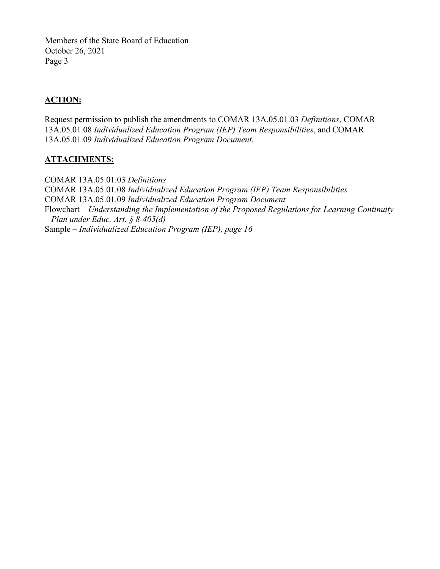Members of the State Board of Education October 26, 2021 Page 3

# **ACTION:**

Request permission to publish the amendments to COMAR 13A.05.01.03 *Definitions*, COMAR 13A.05.01.08 *Individualized Education Program (IEP) Team Responsibilities*, and COMAR 13A.05.01.09 *Individualized Education Program Document.*

## **ATTACHMENTS:**

COMAR 13A.05.01.03 *Definitions* COMAR 13A.05.01.08 *Individualized Education Program (IEP) Team Responsibilities* COMAR 13A.05.01.09 *Individualized Education Program Document* Flowchart – *Understanding the Implementation of the Proposed Regulations for Learning Continuity Plan under Educ. Art. § 8-405(d)* Sample – *Individualized Education Program (IEP), page 16*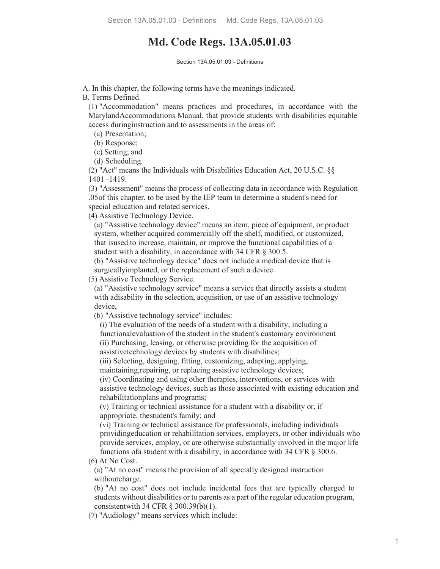# **Md. Code Regs. 13A.05.01.03**

Section 13A 05 01 03 - Definitions

A. In this chapter, the following terms have the meanings indicated.

B. Terms Defined.

(1) "Accommodation" means practices and procedures, in accordance with the MarylandAccommodations Manual, that provide students with disabilities equitable access duringinstruction and to assessments in the areas of:

(a) Presentation;

(b) Response;

(c) Setting; and

(d) Scheduling.

(2) "Act" means the Individuals with Disabilities Education Act, 20 U.S.C. §§ 1401 -1419.

(3) "Assessment" means the process of collecting data in accordance with Regulation .05of this chapter, to be used by the IEP team to determine a student's need for special education and related services.

(4) Assistive Technology Device.

(a) "Assistive technology device" means an item, piece of equipment, or product system, whether acquired commercially off the shelf, modified, or customized, that isused to increase, maintain, or improve the functional capabilities of a student with a disability, in accordance with 34 CFR  $\S$  300.5.

(b) "Assistive technology device" does not include a medical device that is surgicallyimplanted, or the replacement of such a device.

(5) Assistive Technology Service.

(a) "Assistive technology service" means a service that directly assists a student with adisability in the selection, acquisition, or use of an assistive technology device,

(b) "Assistive technology service" includes:

(i) The evaluation of the needs of a student with a disability, including a functionalevaluation of the student in the student's customary environment (ii) Purchasing, leasing, or otherwise providing for the acquisition of assistivetechnology devices by students with disabilities;

(iii) Selecting, designing, fitting, customizing, adapting, applying,

maintaining, repairing, or replacing assistive technology devices;

(iv) Coordinating and using other therapies, interventions, or services with assistive technology devices, such as those associated with existing education and rehabilitationplans and programs;

(v) Training or technical assistance for a student with a disability or, if appropriate, thestudent's family; and

(vi) Training or technical assistance for professionals, including individuals providingeducation or rehabilitation services, employers, or other individuals who provide services, employ, or are otherwise substantially involved in the major life functions of a student with a disability, in accordance with 34 CFR  $\S$  300.6.

(6) At No Cost.

(a) "At no cost" means the provision of all specially designed instruction withoutcharge.

(b) "At no cost" does not include incidental fees that are typically charged to students without disabilities or to parents as a part of the regular education program, consistentwith 34 CFR § 300.39(b)(1).

(7) "Audiology" means services which include: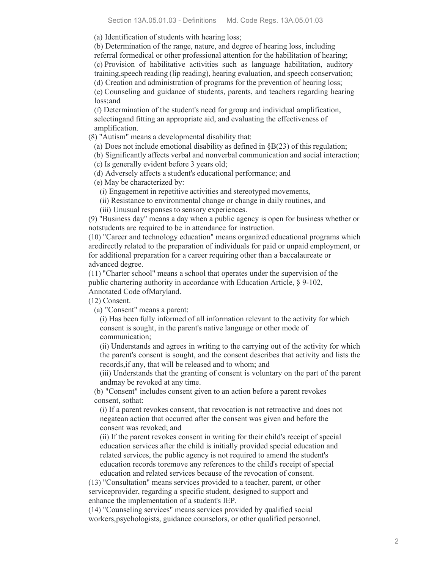(a) Identification of students with hearing loss;

(b) Determination of the range, nature, and degree of hearing loss, including referral formedical or other professional attention for the habilitation of hearing; (c) Provision of habilitative activities such as language habilitation, auditory training,speech reading (lip reading), hearing evaluation, and speech conservation; (d) Creation and administration of programs for the prevention of hearing loss;

(e) Counseling and guidance of students, parents, and teachers regarding hearing loss;and

(f) Determination of the student's need for group and individual amplification, selectingand fitting an appropriate aid, and evaluating the effectiveness of amplification.

(8) "Autism" means a developmental disability that:

(a) Does not include emotional disability as defined in §B(23) of this regulation;

(b) Significantly affects verbal and nonverbal communication and social interaction;

(c) Is generally evident before 3 years old;

(d) Adversely affects a student's educational performance; and

(e) May be characterized by:

(i) Engagement in repetitive activities and stereotyped movements,

(ii) Resistance to environmental change or change in daily routines, and

(iii) Unusual responses to sensory experiences.

(9) "Business day" means a day when a public agency is open for business whether or notstudents are required to be in attendance for instruction.

(10) "Career and technology education" means organized educational programs which aredirectly related to the preparation of individuals for paid or unpaid employment, or for additional preparation for a career requiring other than a baccalaureate or advanced degree.

(11) "Charter school" means a school that operates under the supervision of the public chartering authority in accordance with Education Article, § 9-102, Annotated Code ofMaryland.

(12) Consent.

(a) "Consent" means a parent:

(i) Has been fully informed of all information relevant to the activity for which consent is sought, in the parent's native language or other mode of communication;

(ii) Understands and agrees in writing to the carrying out of the activity for which the parent's consent is sought, and the consent describes that activity and lists the records,if any, that will be released and to whom; and

(iii) Understands that the granting of consent is voluntary on the part of the parent andmay be revoked at any time.

(b) "Consent" includes consent given to an action before a parent revokes consent, sothat:

(i) If a parent revokes consent, that revocation is not retroactive and does not negatean action that occurred after the consent was given and before the consent was revoked; and

(ii) If the parent revokes consent in writing for their child's receipt of special education services after the child is initially provided special education and related services, the public agency is not required to amend the student's education records toremove any references to the child's receipt of special education and related services because of the revocation of consent.

(13) "Consultation" means services provided to a teacher, parent, or other serviceprovider, regarding a specific student, designed to support and enhance the implementation of a student's IEP.

(14) "Counseling services" means services provided by qualified social workers,psychologists, guidance counselors, or other qualified personnel.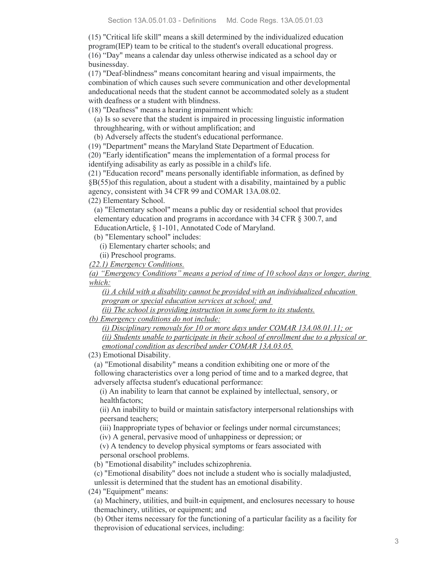(15) "Critical life skill" means a skill determined by the individualized education program(IEP) team to be critical to the student's overall educational progress. (16) "Day" means a calendar day unless otherwise indicated as a school day or businessday.

(17) "Deaf-blindness" means concomitant hearing and visual impairments, the combination of which causes such severe communication and other developmental andeducational needs that the student cannot be accommodated solely as a student with deafness or a student with blindness.

(18) "Deafness" means a hearing impairment which:

- (a) Is so severe that the student is impaired in processing linguistic information throughhearing, with or without amplification; and
- (b) Adversely affects the student's educational performance.

(19) "Department" means the Maryland State Department of Education.

(20) "Early identification" means the implementation of a formal process for

identifying adisability as early as possible in a child's life.

(21) "Education record" means personally identifiable information, as defined by §B(55)of this regulation, about a student with a disability, maintained by a public agency, consistent with 34 CFR 99 and COMAR 13A.08.02.

(22) Elementary School.

(a) "Elementary school" means a public day or residential school that provides elementary education and programs in accordance with 34 CFR § 300.7, and EducationArticle, § 1-101, Annotated Code of Maryland.

(b) "Elementary school" includes:

(i) Elementary charter schools; and

(ii) Preschool programs.

*(22.1) Emergency Conditions.*

*(a) "Emergency Conditions" means a period of time of 10 school days or longer, during which:*

*(i) A child with a disability cannot be provided with an individualized education program or special education services at school; and* 

*(ii) The school is providing instruction in some form to its students.*

*(b) Emergency conditions do not include:*

*(i) Disciplinary removals for 10 or more days under COMAR 13A.08.01.11; or (ii) Students unable to participate in their school of enrollment due to a physical or emotional condition as described under COMAR 13A.03.05.*

(23) Emotional Disability.

(a) "Emotional disability" means a condition exhibiting one or more of the following characteristics over a long period of time and to a marked degree, that adversely affectsa student's educational performance:

(i) An inability to learn that cannot be explained by intellectual, sensory, or healthfactors;

(ii) An inability to build or maintain satisfactory interpersonal relationships with peersand teachers;

(iii) Inappropriate types of behavior or feelings under normal circumstances;

(iv) A general, pervasive mood of unhappiness or depression; or

(v) A tendency to develop physical symptoms or fears associated with personal orschool problems.

(b) "Emotional disability" includes schizophrenia.

(c) "Emotional disability" does not include a student who is socially maladjusted, unlessit is determined that the student has an emotional disability.

(24) "Equipment" means:

(a) Machinery, utilities, and built-in equipment, and enclosures necessary to house themachinery, utilities, or equipment; and

(b) Other items necessary for the functioning of a particular facility as a facility for theprovision of educational services, including: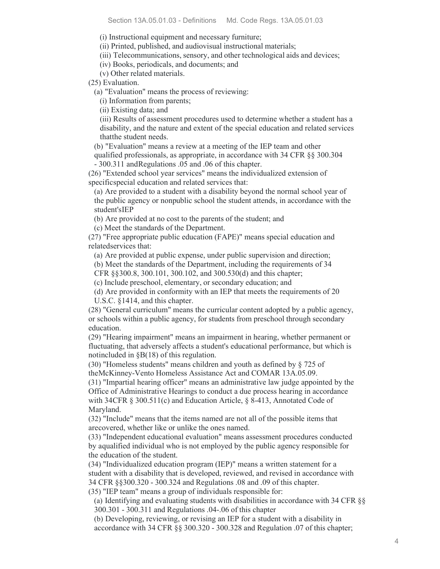(i) Instructional equipment and necessary furniture;

(ii) Printed, published, and audiovisual instructional materials;

(iii) Telecommunications, sensory, and other technological aids and devices;

(iv) Books, periodicals, and documents; and

(v) Other related materials.

(25) Evaluation.

(a) "Evaluation" means the process of reviewing:

(i) Information from parents;

(ii) Existing data; and

(iii) Results of assessment procedures used to determine whether a student has a disability, and the nature and extent of the special education and related services thatthe student needs.

(b) "Evaluation" means a review at a meeting of the IEP team and other

qualified professionals, as appropriate, in accordance with 34 CFR §§ 300.304 - 300.311 andRegulations .05 and .06 of this chapter.

(26) "Extended school year services" means the individualized extension of specificspecial education and related services that:

(a) Are provided to a student with a disability beyond the normal school year of the public agency or nonpublic school the student attends, in accordance with the student'sIEP

(b) Are provided at no cost to the parents of the student; and

(c) Meet the standards of the Department.

(27) "Free appropriate public education (FAPE)" means special education and relatedservices that:

(a) Are provided at public expense, under public supervision and direction;

(b) Meet the standards of the Department, including the requirements of 34

CFR §§300.8, 300.101, 300.102, and 300.530(d) and this chapter;

(c) Include preschool, elementary, or secondary education; and

(d) Are provided in conformity with an IEP that meets the requirements of 20 U.S.C. §1414, and this chapter.

(28) "General curriculum" means the curricular content adopted by a public agency, or schools within a public agency, for students from preschool through secondary education.

(29) "Hearing impairment" means an impairment in hearing, whether permanent or fluctuating, that adversely affects a student's educational performance, but which is notincluded in §B(18) of this regulation.

(30) "Homeless students" means children and youth as defined by § 725 of theMcKinney-Vento Homeless Assistance Act and COMAR 13A.05.09.

(31) "Impartial hearing officer" means an administrative law judge appointed by the Office of Administrative Hearings to conduct a due process hearing in accordance with 34CFR § 300.511(c) and Education Article, § 8-413, Annotated Code of Maryland.

(32) "Include" means that the items named are not all of the possible items that arecovered, whether like or unlike the ones named.

(33) "Independent educational evaluation" means assessment procedures conducted by aqualified individual who is not employed by the public agency responsible for the education of the student.

(34) "Individualized education program (IEP)" means a written statement for a student with a disability that is developed, reviewed, and revised in accordance with 34 CFR §§300.320 - 300.324 and Regulations .08 and .09 of this chapter.

(35) "IEP team" means a group of individuals responsible for:

(a) Identifying and evaluating students with disabilities in accordance with 34 CFR §§ 300.301 - 300.311 and Regulations .04-.06 of this chapter

(b) Developing, reviewing, or revising an IEP for a student with a disability in accordance with 34 CFR §§ 300.320 - 300.328 and Regulation .07 of this chapter;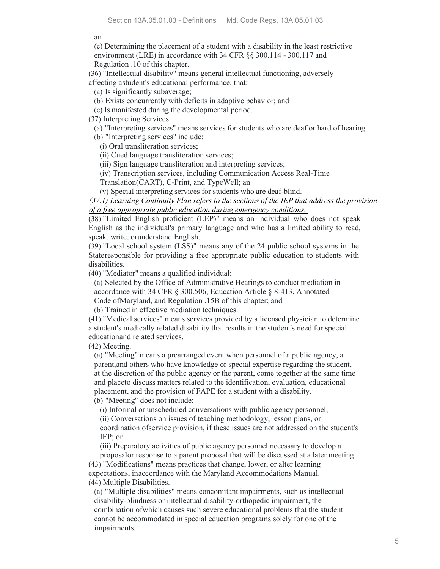an

(c) Determining the placement of a student with a disability in the least restrictive environment (LRE) in accordance with 34 CFR §§ 300.114 - 300.117 and Regulation .10 of this chapter.

(36) "Intellectual disability" means general intellectual functioning, adversely affecting astudent's educational performance, that:

(a) Is significantly subaverage;

(b) Exists concurrently with deficits in adaptive behavior; and

(c) Is manifested during the developmental period.

(37) Interpreting Services.

(a) "Interpreting services" means services for students who are deaf or hard of hearing

(b) "Interpreting services" include:

(i) Oral transliteration services;

(ii) Cued language transliteration services;

(iii) Sign language transliteration and interpreting services;

(iv) Transcription services, including Communication Access Real-Time

Translation(CART), C-Print, and TypeWell; an

(v) Special interpreting services for students who are deaf-blind.

*(37.1) Learning Continuity Plan refers to the sections of the IEP that address the provision of a free appropriate public education during emergency conditions.* 

(38) "Limited English proficient (LEP)" means an individual who does not speak English as the individual's primary language and who has a limited ability to read, speak, write, orunderstand English.

(39) "Local school system (LSS)" means any of the 24 public school systems in the Stateresponsible for providing a free appropriate public education to students with disabilities.

(40) "Mediator" means a qualified individual:

(a) Selected by the Office of Administrative Hearings to conduct mediation in accordance with 34 CFR § 300.506, Education Article § 8-413, Annotated Code ofMaryland, and Regulation .15B of this chapter; and

(b) Trained in effective mediation techniques.

(41) "Medical services" means services provided by a licensed physician to determine a student's medically related disability that results in the student's need for special educationand related services.

(42) Meeting.

(a) "Meeting" means a prearranged event when personnel of a public agency, a parent,and others who have knowledge or special expertise regarding the student, at the discretion of the public agency or the parent, come together at the same time and placeto discuss matters related to the identification, evaluation, educational placement, and the provision of FAPE for a student with a disability.

(b) "Meeting" does not include:

(i) Informal or unscheduled conversations with public agency personnel;

(ii) Conversations on issues of teaching methodology, lesson plans, or

coordination ofservice provision, if these issues are not addressed on the student's IEP; or

(iii) Preparatory activities of public agency personnel necessary to develop a proposalor response to a parent proposal that will be discussed at a later meeting.

(43) "Modifications" means practices that change, lower, or alter learning expectations, inaccordance with the Maryland Accommodations Manual.

(44) Multiple Disabilities.

(a) "Multiple disabilities" means concomitant impairments, such as intellectual disability-blindness or intellectual disability-orthopedic impairment, the combination ofwhich causes such severe educational problems that the student cannot be accommodated in special education programs solely for one of the impairments.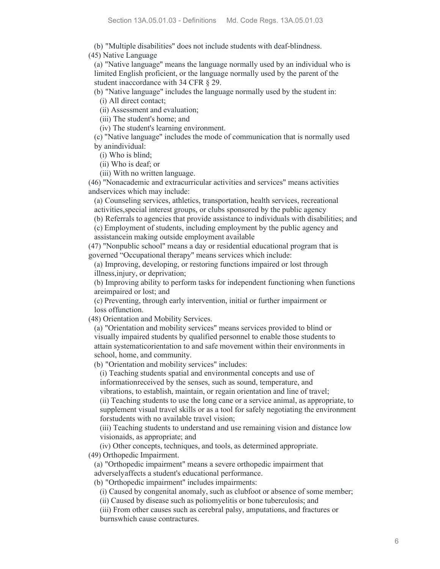(b) "Multiple disabilities" does not include students with deaf-blindness.

(45) Native Language

(a) "Native language" means the language normally used by an individual who is limited English proficient, or the language normally used by the parent of the student inaccordance with 34 CFR § 29.

(b) "Native language" includes the language normally used by the student in:

(i) All direct contact;

(ii) Assessment and evaluation;

(iii) The student's home; and

(iv) The student's learning environment.

(c) "Native language" includes the mode of communication that is normally used by anindividual:

(i) Who is blind;

(ii) Who is deaf; or

(iii) With no written language.

(46) "Nonacademic and extracurricular activities and services" means activities andservices which may include:

(a) Counseling services, athletics, transportation, health services, recreational activities,special interest groups, or clubs sponsored by the public agency

(b) Referrals to agencies that provide assistance to individuals with disabilities; and

(c) Employment of students, including employment by the public agency and assistancein making outside employment available

(47) "Nonpublic school" means a day or residential educational program that is governed "Occupational therapy" means services which include:

(a) Improving, developing, or restoring functions impaired or lost through illness,injury, or deprivation;

(b) Improving ability to perform tasks for independent functioning when functions areimpaired or lost; and

(c) Preventing, through early intervention, initial or further impairment or loss offunction.

(48) Orientation and Mobility Services.

(a) "Orientation and mobility services" means services provided to blind or visually impaired students by qualified personnel to enable those students to attain systematicorientation to and safe movement within their environments in school, home, and community.

(b) "Orientation and mobility services" includes:

(i) Teaching students spatial and environmental concepts and use of informationreceived by the senses, such as sound, temperature, and

vibrations, to establish, maintain, or regain orientation and line of travel;

(ii) Teaching students to use the long cane or a service animal, as appropriate, to supplement visual travel skills or as a tool for safely negotiating the environment forstudents with no available travel vision;

(iii) Teaching students to understand and use remaining vision and distance low visionaids, as appropriate; and

(iv) Other concepts, techniques, and tools, as determined appropriate.

(49) Orthopedic Impairment.

(a) "Orthopedic impairment" means a severe orthopedic impairment that

adverselyaffects a student's educational performance. (b) "Orthopedic impairment" includes impairments:

(i) Caused by congenital anomaly, such as clubfoot or absence of some member;

(ii) Caused by disease such as poliomyelitis or bone tuberculosis; and

(iii) From other causes such as cerebral palsy, amputations, and fractures or burnswhich cause contractures.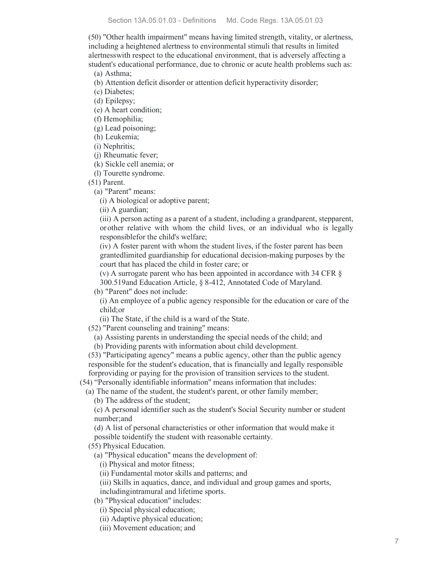(50) "Other health impairment" means having limited strength, vitality, or alertness, including a heightened alertness to environmental stimuli that results in limited alertnesswith respect to the educational environment, that is adversely affecting a student's educational performance, due to chronic or acute health problems such as:

(a) Asthma;

(b) Attention deficit disorder or attention deficit hyperactivity disorder;

(c) Diabetes;

(d) Epilepsy;

(e) A heart condition;

(f) Hemophilia;

(g) Lead poisoning;

(h) Leukemia;

(i) Nephritis;

(j) Rheumatic fever;

(k) Sickle cell anemia; or

(l) Tourette syndrome.

(51) Parent.

(a) "Parent" means:

(i) A biological or adoptive parent;

(ii) A guardian;

(iii) A person acting as a parent of a student, including a grandparent, stepparent, orother relative with whom the child lives, or an individual who is legally responsiblefor the child's welfare;

(iv) A foster parent with whom the student lives, if the foster parent has been grantedlimited guardianship for educational decision-making purposes by the court that has placed the child in foster care; or

(v) A surrogate parent who has been appointed in accordance with 34 CFR § 300.519and Education Article, § 8-412, Annotated Code of Maryland.

(b) "Parent" does not include:

(i) An employee of a public agency responsible for the education or care of the child;or

(ii) The State, if the child is a ward of the State.

(52) "Parent counseling and training" means:

(a) Assisting parents in understanding the special needs of the child; and

(b) Providing parents with information about child development.

(53) "Participating agency" means a public agency, other than the public agency responsible for the student's education, that is financially and legally responsible forproviding or paying for the provision of transition services to the student.

(54) "Personally identifiable information" means information that includes:

(a) The name of the student, the student's parent, or other family member; (b) The address of the student;

(c) A personal identifier such as the student's Social Security number or student number;and

(d) A list of personal characteristics or other information that would make it

possible toidentify the student with reasonable certainty.

(55) Physical Education.

(a) "Physical education" means the development of:

(i) Physical and motor fitness;

(ii) Fundamental motor skills and patterns; and

(iii) Skills in aquatics, dance, and individual and group games and sports, includingintramural and lifetime sports.

(b) "Physical education" includes:

(i) Special physical education;

(ii) Adaptive physical education;

(iii) Movement education; and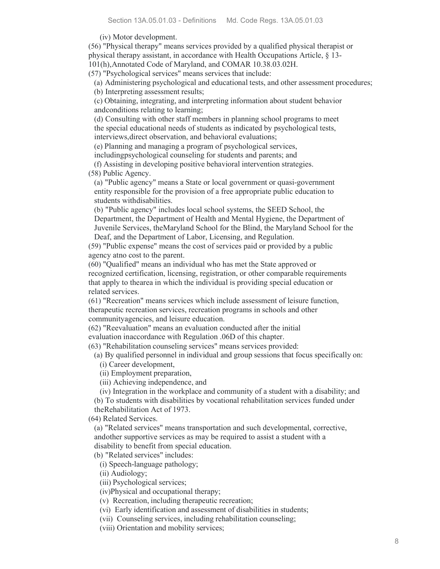(iv) Motor development.

(56) "Physical therapy" means services provided by a qualified physical therapist or physical therapy assistant, in accordance with Health Occupations Article, § 13- 101(h),Annotated Code of Maryland, and COMAR 10.38.03.02H.

(57) "Psychological services" means services that include:

(a) Administering psychological and educational tests, and other assessment procedures;

(b) Interpreting assessment results;

(c) Obtaining, integrating, and interpreting information about student behavior andconditions relating to learning;

(d) Consulting with other staff members in planning school programs to meet the special educational needs of students as indicated by psychological tests, interviews,direct observation, and behavioral evaluations;

(e) Planning and managing a program of psychological services,

includingpsychological counseling for students and parents; and

(f) Assisting in developing positive behavioral intervention strategies.

(58) Public Agency.

(a) "Public agency" means a State or local government or quasi-government entity responsible for the provision of a free appropriate public education to students withdisabilities.

(b) "Public agency" includes local school systems, the SEED School, the Department, the Department of Health and Mental Hygiene, the Department of Juvenile Services, theMaryland School for the Blind, the Maryland School for the Deaf, and the Department of Labor, Licensing, and Regulation.

(59) "Public expense" means the cost of services paid or provided by a public agency atno cost to the parent.

(60) "Qualified" means an individual who has met the State approved or recognized certification, licensing, registration, or other comparable requirements that apply to thearea in which the individual is providing special education or related services.

(61) "Recreation" means services which include assessment of leisure function, therapeutic recreation services, recreation programs in schools and other communityagencies, and leisure education.

(62) "Reevaluation" means an evaluation conducted after the initial evaluation inaccordance with Regulation .06D of this chapter.

(63) "Rehabilitation counseling services" means services provided:

(a) By qualified personnel in individual and group sessions that focus specifically on: (i) Career development,

(ii) Employment preparation,

(iii) Achieving independence, and

(iv) Integration in the workplace and community of a student with a disability; and

(b) To students with disabilities by vocational rehabilitation services funded under theRehabilitation Act of 1973.

(64) Related Services.

(a) "Related services" means transportation and such developmental, corrective, andother supportive services as may be required to assist a student with a disability to benefit from special education.

(b) "Related services" includes:

(i) Speech-language pathology;

(ii) Audiology;

(iii) Psychological services;

(iv)Physical and occupational therapy;

(v) Recreation, including therapeutic recreation;

(vi) Early identification and assessment of disabilities in students;

(vii) Counseling services, including rehabilitation counseling;

(viii) Orientation and mobility services;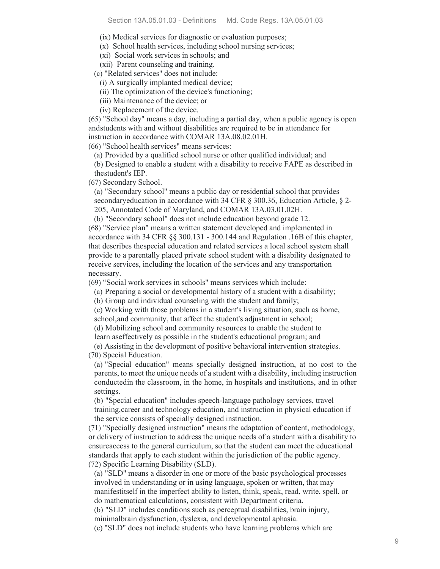(ix) Medical services for diagnostic or evaluation purposes;

(x) School health services, including school nursing services;

(xi) Social work services in schools; and

(xii) Parent counseling and training.

(c) "Related services" does not include:

(i) A surgically implanted medical device;

(ii) The optimization of the device's functioning;

(iii) Maintenance of the device; or

(iv) Replacement of the device.

(65) "School day" means a day, including a partial day, when a public agency is open andstudents with and without disabilities are required to be in attendance for instruction in accordance with COMAR 13A.08.02.01H.

(66) "School health services" means services:

(a) Provided by a qualified school nurse or other qualified individual; and

(b) Designed to enable a student with a disability to receive FAPE as described in thestudent's IEP.

(67) Secondary School.

(a) "Secondary school" means a public day or residential school that provides secondaryeducation in accordance with 34 CFR § 300.36, Education Article, § 2- 205, Annotated Code of Maryland, and COMAR 13A.03.01.02H.

(b) "Secondary school" does not include education beyond grade 12.

(68) "Service plan" means a written statement developed and implemented in accordance with 34 CFR §§ 300.131 - 300.144 and Regulation .16B of this chapter, that describes thespecial education and related services a local school system shall provide to a parentally placed private school student with a disability designated to receive services, including the location of the services and any transportation necessary.

(69) "Social work services in schools" means services which include:

(a) Preparing a social or developmental history of a student with a disability;

(b) Group and individual counseling with the student and family;

(c) Working with those problems in a student's living situation, such as home,

school,and community, that affect the student's adjustment in school;

(d) Mobilizing school and community resources to enable the student to learn aseffectively as possible in the student's educational program; and

(e) Assisting in the development of positive behavioral intervention strategies.

(70) Special Education.

(a) "Special education" means specially designed instruction, at no cost to the parents, to meet the unique needs of a student with a disability, including instruction conductedin the classroom, in the home, in hospitals and institutions, and in other settings.

(b) "Special education" includes speech-language pathology services, travel training,career and technology education, and instruction in physical education if the service consists of specially designed instruction.

(71) "Specially designed instruction" means the adaptation of content, methodology, or delivery of instruction to address the unique needs of a student with a disability to ensureaccess to the general curriculum, so that the student can meet the educational standards that apply to each student within the jurisdiction of the public agency. (72) Specific Learning Disability (SLD).

(a) "SLD" means a disorder in one or more of the basic psychological processes involved in understanding or in using language, spoken or written, that may manifestitself in the imperfect ability to listen, think, speak, read, write, spell, or do mathematical calculations, consistent with Department criteria.

(b) "SLD" includes conditions such as perceptual disabilities, brain injury,

minimalbrain dysfunction, dyslexia, and developmental aphasia.

(c) "SLD" does not include students who have learning problems which are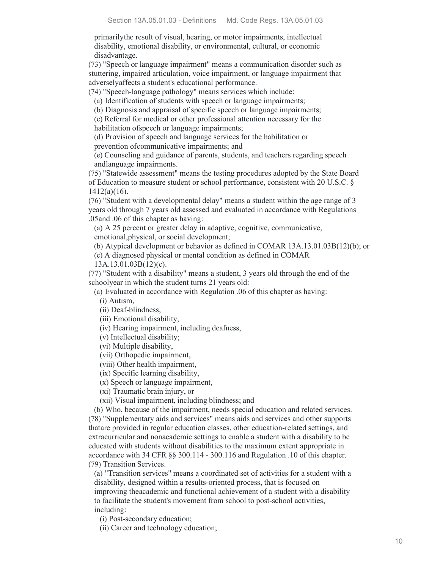primarilythe result of visual, hearing, or motor impairments, intellectual disability, emotional disability, or environmental, cultural, or economic disadvantage.

(73) "Speech or language impairment" means a communication disorder such as stuttering, impaired articulation, voice impairment, or language impairment that adverselyaffects a student's educational performance.

(74) "Speech-language pathology" means services which include:

(a) Identification of students with speech or language impairments;

(b) Diagnosis and appraisal of specific speech or language impairments;

(c) Referral for medical or other professional attention necessary for the habilitation ofspeech or language impairments;

(d) Provision of speech and language services for the habilitation or prevention ofcommunicative impairments; and

(e) Counseling and guidance of parents, students, and teachers regarding speech andlanguage impairments.

(75) "Statewide assessment" means the testing procedures adopted by the State Board of Education to measure student or school performance, consistent with 20 U.S.C. § 1412(a)(16).

(76) "Student with a developmental delay" means a student within the age range of 3 years old through 7 years old assessed and evaluated in accordance with Regulations .05and .06 of this chapter as having:

(a) A 25 percent or greater delay in adaptive, cognitive, communicative,

emotional,physical, or social development;

(b) Atypical development or behavior as defined in COMAR 13A.13.01.03B(12)(b); or

(c) A diagnosed physical or mental condition as defined in COMAR

13A.13.01.03B(12)(c).

(77) "Student with a disability" means a student, 3 years old through the end of the schoolyear in which the student turns 21 years old:

(a) Evaluated in accordance with Regulation .06 of this chapter as having:

(i) Autism,

(ii) Deaf-blindness,

(iii) Emotional disability,

(iv) Hearing impairment, including deafness,

(v) Intellectual disability;

(vi) Multiple disability,

(vii) Orthopedic impairment,

(viii) Other health impairment,

(ix) Specific learning disability,

(x) Speech or language impairment,

(xi) Traumatic brain injury, or

(xii) Visual impairment, including blindness; and

(b) Who, because of the impairment, needs special education and related services. (78) "Supplementary aids and services" means aids and services and other supports thatare provided in regular education classes, other education-related settings, and extracurricular and nonacademic settings to enable a student with a disability to be educated with students without disabilities to the maximum extent appropriate in accordance with 34 CFR §§ 300.114 - 300.116 and Regulation .10 of this chapter. (79) Transition Services.

(a) "Transition services" means a coordinated set of activities for a student with a disability, designed within a results-oriented process, that is focused on improving theacademic and functional achievement of a student with a disability to facilitate the student's movement from school to post-school activities, including:

(i) Post-secondary education;

(ii) Career and technology education;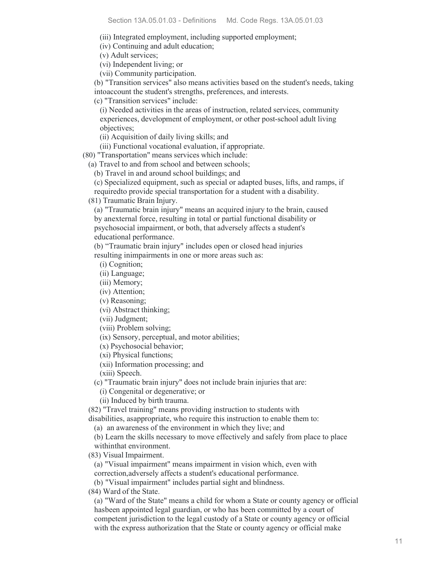(iii) Integrated employment, including supported employment;

(iv) Continuing and adult education;

(v) Adult services;

(vi) Independent living; or

(vii) Community participation.

(b) "Transition services" also means activities based on the student's needs, taking intoaccount the student's strengths, preferences, and interests.

(c) "Transition services" include:

(i) Needed activities in the areas of instruction, related services, community experiences, development of employment, or other post-school adult living objectives;

(ii) Acquisition of daily living skills; and

(iii) Functional vocational evaluation, if appropriate.

(80) "Transportation" means services which include:

(a) Travel to and from school and between schools;

(b) Travel in and around school buildings; and

(c) Specialized equipment, such as special or adapted buses, lifts, and ramps, if requiredto provide special transportation for a student with a disability.

(81) Traumatic Brain Injury.

(a) "Traumatic brain injury" means an acquired injury to the brain, caused by anexternal force, resulting in total or partial functional disability or psychosocial impairment, or both, that adversely affects a student's educational performance.

(b) "Traumatic brain injury" includes open or closed head injuries resulting inimpairments in one or more areas such as:

(i) Cognition;

(ii) Language;

(iii) Memory;

(iv) Attention;

(v) Reasoning;

(vi) Abstract thinking;

(vii) Judgment;

(viii) Problem solving;

(ix) Sensory, perceptual, and motor abilities;

(x) Psychosocial behavior;

(xi) Physical functions;

(xii) Information processing; and

(xiii) Speech.

(c) "Traumatic brain injury" does not include brain injuries that are:

(i) Congenital or degenerative; or

(ii) Induced by birth trauma.

(82) "Travel training" means providing instruction to students with

disabilities, asappropriate, who require this instruction to enable them to:

(a) an awareness of the environment in which they live; and

(b) Learn the skills necessary to move effectively and safely from place to place withinthat environment.

(83) Visual Impairment.

(a) "Visual impairment" means impairment in vision which, even with

correction,adversely affects a student's educational performance.

(b) "Visual impairment" includes partial sight and blindness.

(84) Ward of the State.

(a) "Ward of the State" means a child for whom a State or county agency or official hasbeen appointed legal guardian, or who has been committed by a court of competent jurisdiction to the legal custody of a State or county agency or official with the express authorization that the State or county agency or official make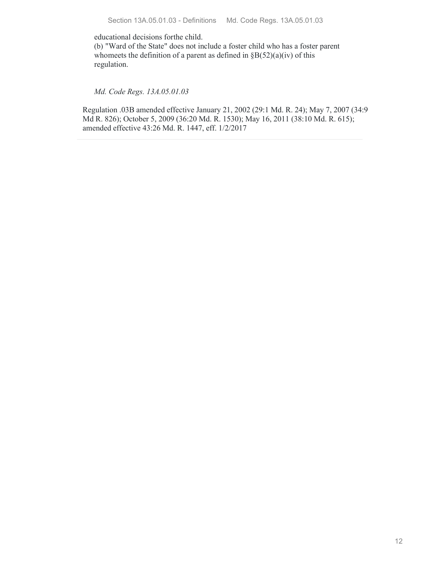educational decisions forthe child.

(b) "Ward of the State" does not include a foster child who has a foster parent whomeets the definition of a parent as defined in  $\S B(52)(a)(iv)$  of this regulation.

*Md. Code Regs. 13A.05.01.03*

Regulation .03B amended effective January 21, 2002 (29:1 Md. R. 24); May 7, 2007 (34:9 Md R. 826); October 5, 2009 (36:20 Md. R. 1530); May 16, 2011 (38:10 Md. R. 615); amended effective 43:26 Md. R. 1447, eff. 1/2/2017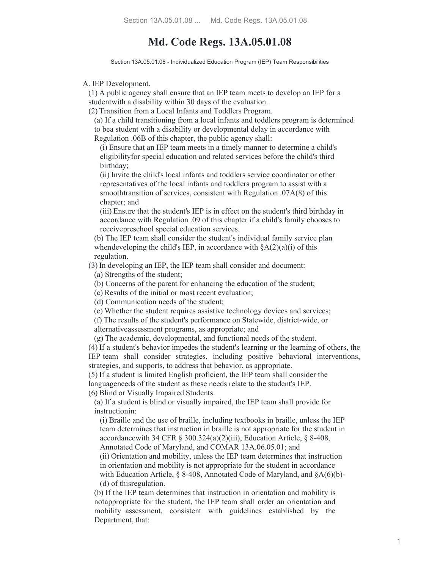# **Md. Code Regs. 13A.05.01.08**

Section 13A.05.01.08 - Individualized Education Program (IEP) Team Responsibilities

A. IEP Development.

(1) A public agency shall ensure that an IEP team meets to develop an IEP for a studentwith a disability within 30 days of the evaluation.

(2) Transition from a Local Infants and Toddlers Program.

(a) If a child transitioning from a local infants and toddlers program is determined to bea student with a disability or developmental delay in accordance with Regulation .06B of this chapter, the public agency shall:

(i) Ensure that an IEP team meets in a timely manner to determine a child's eligibilityfor special education and related services before the child's third birthday;

(ii) Invite the child's local infants and toddlers service coordinator or other representatives of the local infants and toddlers program to assist with a smoothtransition of services, consistent with Regulation .07A(8) of this chapter; and

(iii) Ensure that the student's IEP is in effect on the student's third birthday in accordance with Regulation .09 of this chapter if a child's family chooses to receivepreschool special education services.

(b) The IEP team shall consider the student's individual family service plan whendeveloping the child's IEP, in accordance with  $\delta A(2)(a)(i)$  of this regulation.

(3) In developing an IEP, the IEP team shall consider and document:

(a) Strengths of the student;

(b) Concerns of the parent for enhancing the education of the student;

(c) Results of the initial or most recent evaluation;

(d) Communication needs of the student;

(e) Whether the student requires assistive technology devices and services;

(f) The results of the student's performance on Statewide, district-wide, or

alternativeassessment programs, as appropriate; and

(g) The academic, developmental, and functional needs of the student.

(4) If a student's behavior impedes the student's learning or the learning of others, the IEP team shall consider strategies, including positive behavioral interventions, strategies, and supports, to address that behavior, as appropriate.

(5) If a student is limited English proficient, the IEP team shall consider the languageneeds of the student as these needs relate to the student's IEP. (6) Blind or Visually Impaired Students.

(a) If a student is blind or visually impaired, the IEP team shall provide for instructionin:

(i) Braille and the use of braille, including textbooks in braille, unless the IEP team determines that instruction in braille is not appropriate for the student in accordancewith 34 CFR § 300.324(a)(2)(iii), Education Article, § 8-408, Annotated Code of Maryland, and COMAR 13A.06.05.01; and

(ii) Orientation and mobility, unless the IEP team determines that instruction in orientation and mobility is not appropriate for the student in accordance with Education Article, § 8-408, Annotated Code of Maryland, and §A(6)(b)-

(d) of thisregulation.

(b) If the IEP team determines that instruction in orientation and mobility is notappropriate for the student, the IEP team shall order an orientation and mobility assessment, consistent with guidelines established by the Department, that: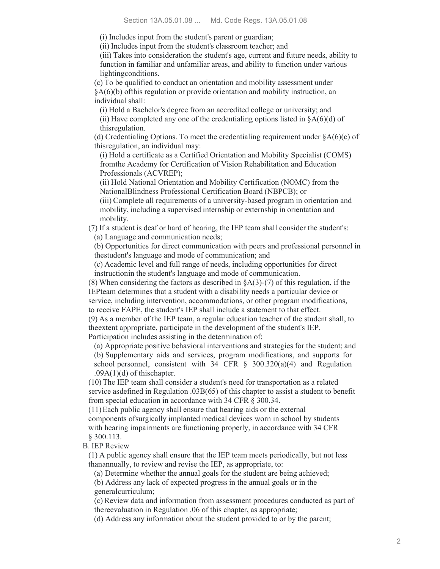(i) Includes input from the student's parent or guardian;

(ii) Includes input from the student's classroom teacher; and

(iii) Takes into consideration the student's age, current and future needs, ability to function in familiar and unfamiliar areas, and ability to function under various lightingconditions.

(c) To be qualified to conduct an orientation and mobility assessment under §A(6)(b) ofthis regulation or provide orientation and mobility instruction, an individual shall:

(i) Hold a Bachelor's degree from an accredited college or university; and (ii) Have completed any one of the credentialing options listed in  $§A(6)(d)$  of thisregulation.

(d) Credentialing Options. To meet the credentialing requirement under  $\delta A(6)(c)$  of thisregulation, an individual may:

(i) Hold a certificate as a Certified Orientation and Mobility Specialist (COMS) fromthe Academy for Certification of Vision Rehabilitation and Education Professionals (ACVREP);

(ii) Hold National Orientation and Mobility Certification (NOMC) from the NationalBlindness Professional Certification Board (NBPCB); or

(iii) Complete all requirements of a university-based program in orientation and mobility, including a supervised internship or externship in orientation and mobility.

(7) If a student is deaf or hard of hearing, the IEP team shall consider the student's: (a) Language and communication needs;

(b) Opportunities for direct communication with peers and professional personnel in thestudent's language and mode of communication; and

(c) Academic level and full range of needs, including opportunities for direct instructionin the student's language and mode of communication.

(8) When considering the factors as described in §A(3)-(7) of this regulation, if the IEPteam determines that a student with a disability needs a particular device or service, including intervention, accommodations, or other program modifications, to receive FAPE, the student's IEP shall include a statement to that effect.

(9) As a member of the IEP team, a regular education teacher of the student shall, to theextent appropriate, participate in the development of the student's IEP.

Participation includes assisting in the determination of:

(a) Appropriate positive behavioral interventions and strategies for the student; and (b) Supplementary aids and services, program modifications, and supports for school personnel, consistent with  $34$  CFR §  $300.320(a)(4)$  and Regulation .09A(1)(d) of thischapter.

(10) The IEP team shall consider a student's need for transportation as a related service asdefined in Regulation .03B(65) of this chapter to assist a student to benefit from special education in accordance with 34 CFR § 300.34.

(11)Each public agency shall ensure that hearing aids or the external

components ofsurgically implanted medical devices worn in school by students with hearing impairments are functioning properly, in accordance with 34 CFR § 300.113.

B. IEP Review

(1) A public agency shall ensure that the IEP team meets periodically, but not less thanannually, to review and revise the IEP, as appropriate, to:

(a) Determine whether the annual goals for the student are being achieved;

(b) Address any lack of expected progress in the annual goals or in the generalcurriculum;

(c) Review data and information from assessment procedures conducted as part of thereevaluation in Regulation .06 of this chapter, as appropriate;

(d) Address any information about the student provided to or by the parent;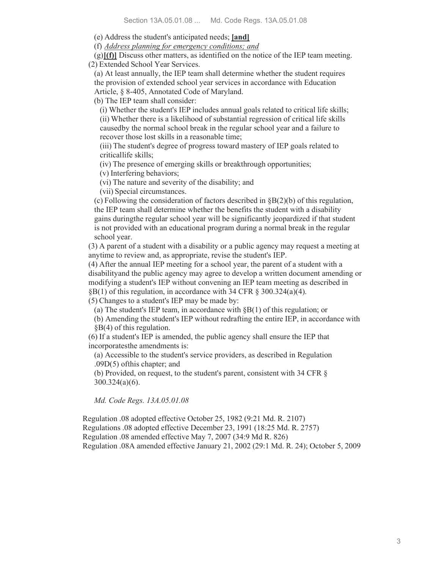(e) Address the student's anticipated needs; **[and]**

(f) *Address planning for emergency conditions; and*

(g)**[(f)]** Discuss other matters, as identified on the notice of the IEP team meeting. (2) Extended School Year Services.

(a) At least annually, the IEP team shall determine whether the student requires the provision of extended school year services in accordance with Education Article, § 8-405, Annotated Code of Maryland.

(b) The IEP team shall consider:

(i) Whether the student's IEP includes annual goals related to critical life skills; (ii) Whether there is a likelihood of substantial regression of critical life skills causedby the normal school break in the regular school year and a failure to

recover those lost skills in a reasonable time;

(iii) The student's degree of progress toward mastery of IEP goals related to criticallife skills;

(iv) The presence of emerging skills or breakthrough opportunities;

(v) Interfering behaviors;

(vi) The nature and severity of the disability; and

(vii) Special circumstances.

(c) Following the consideration of factors described in §B(2)(b) of this regulation, the IEP team shall determine whether the benefits the student with a disability gains duringthe regular school year will be significantly jeopardized if that student is not provided with an educational program during a normal break in the regular school year.

(3) A parent of a student with a disability or a public agency may request a meeting at anytime to review and, as appropriate, revise the student's IEP.

(4) After the annual IEP meeting for a school year, the parent of a student with a disabilityand the public agency may agree to develop a written document amending or modifying a student's IEP without convening an IEP team meeting as described in  $\S B(1)$  of this regulation, in accordance with 34 CFR  $\S 300.324(a)(4)$ .

(5) Changes to a student's IEP may be made by:

(a) The student's IEP team, in accordance with  $\delta B(1)$  of this regulation; or

(b) Amending the student's IEP without redrafting the entire IEP, in accordance with §B(4) of this regulation.

(6) If a student's IEP is amended, the public agency shall ensure the IEP that incorporatesthe amendments is:

(a) Accessible to the student's service providers, as described in Regulation .09D(5) ofthis chapter; and

(b) Provided, on request, to the student's parent, consistent with 34 CFR § 300.324(a)(6).

*Md. Code Regs. 13A.05.01.08*

Regulation .08 adopted effective October 25, 1982 (9:21 Md. R. 2107) Regulations .08 adopted effective December 23, 1991 (18:25 Md. R. 2757) Regulation .08 amended effective May 7, 2007 (34:9 Md R. 826) Regulation .08A amended effective January 21, 2002 (29:1 Md. R. 24); October 5, 2009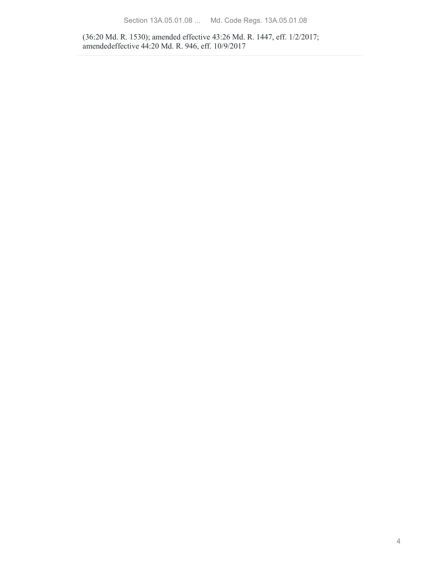(36:20 Md. R. 1530); amended effective 43:26 Md. R. 1447, eff. 1/2/2017; amendedeffective 44:20 Md. R. 946, eff. 10/9/2017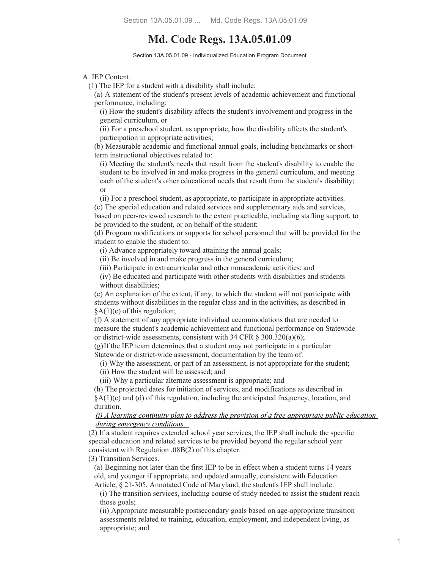# **Md. Code Regs. 13A.05.01.09**

Section 13A.05.01.09 - Individualized Education Program Document

A. IEP Content.

(1) The IEP for a student with a disability shall include:

(a) A statement of the student's present levels of academic achievement and functional performance, including:

(i) How the student's disability affects the student's involvement and progress in the general curriculum, or

(ii) For a preschool student, as appropriate, how the disability affects the student's participation in appropriate activities;

(b) Measurable academic and functional annual goals, including benchmarks or shortterm instructional objectives related to:

(i) Meeting the student's needs that result from the student's disability to enable the student to be involved in and make progress in the general curriculum, and meeting each of the student's other educational needs that result from the student's disability; or

(ii) For a preschool student, as appropriate, to participate in appropriate activities.

(c) The special education and related services and supplementary aids and services, based on peer-reviewed research to the extent practicable, including staffing support, to be provided to the student, or on behalf of the student;

(d) Program modifications or supports for school personnel that will be provided for the student to enable the student to:

(i) Advance appropriately toward attaining the annual goals;

(ii) Be involved in and make progress in the general curriculum;

(iii) Participate in extracurricular and other nonacademic activities; and

(iv) Be educated and participate with other students with disabilities and students without disabilities;

(e) An explanation of the extent, if any, to which the student will not participate with students without disabilities in the regular class and in the activities, as described in  $§A(1)(e)$  of this regulation;

(f) A statement of any appropriate individual accommodations that are needed to measure the student's academic achievement and functional performance on Statewide or district-wide assessments, consistent with 34 CFR § 300.320(a)(6);

(g)If the IEP team determines that a student may not participate in a particular Statewide or district-wide assessment, documentation by the team of:

(i) Why the assessment, or part of an assessment, is not appropriate for the student;

(ii) How the student will be assessed; and

(iii) Why a particular alternate assessment is appropriate; and

(h) The projected dates for initiation of services, and modifications as described in  $\&A(1)(c)$  and (d) of this regulation, including the anticipated frequency, location, and duration.

#### *(i) A learning continuity plan to address the provision of a free appropriate public education during emergency conditions.*

(2) If a student requires extended school year services, the IEP shall include the specific special education and related services to be provided beyond the regular school year consistent with Regulation .08B(2) of this chapter.

(3) Transition Services.

(a) Beginning not later than the first IEP to be in effect when a student turns 14 years old, and younger if appropriate, and updated annually, consistent with Education Article, § 21-305, Annotated Code of Maryland, the student's IEP shall include:

(i) The transition services, including course of study needed to assist the student reach

those goals;

(ii) Appropriate measurable postsecondary goals based on age-appropriate transition assessments related to training, education, employment, and independent living, as appropriate; and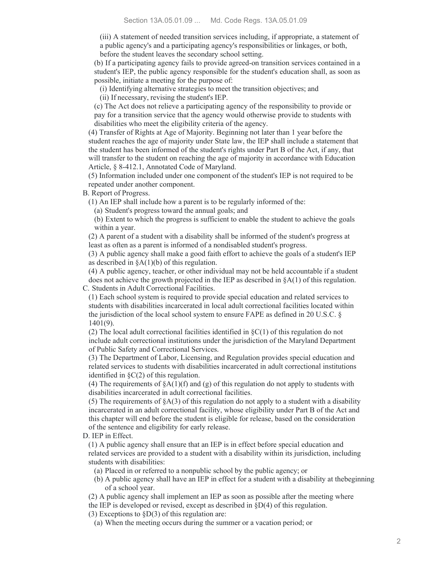(iii) A statement of needed transition services including, if appropriate, a statement of a public agency's and a participating agency's responsibilities or linkages, or both, before the student leaves the secondary school setting.

(b) If a participating agency fails to provide agreed-on transition services contained in a student's IEP, the public agency responsible for the student's education shall, as soon as possible, initiate a meeting for the purpose of:

(i) Identifying alternative strategies to meet the transition objectives; and

(ii) If necessary, revising the student's IEP.

(c) The Act does not relieve a participating agency of the responsibility to provide or pay for a transition service that the agency would otherwise provide to students with disabilities who meet the eligibility criteria of the agency.

(4) Transfer of Rights at Age of Majority. Beginning not later than 1 year before the student reaches the age of majority under State law, the IEP shall include a statement that the student has been informed of the student's rights under Part B of the Act, if any, that will transfer to the student on reaching the age of majority in accordance with Education Article, § 8-412.1, Annotated Code of Maryland.

(5) Information included under one component of the student's IEP is not required to be repeated under another component.

B. Report of Progress.

(1) An IEP shall include how a parent is to be regularly informed of the:

(a) Student's progress toward the annual goals; and

(b) Extent to which the progress is sufficient to enable the student to achieve the goals within a year.

(2) A parent of a student with a disability shall be informed of the student's progress at least as often as a parent is informed of a nondisabled student's progress.

(3) A public agency shall make a good faith effort to achieve the goals of a student's IEP as described in  $\&A(1)(b)$  of this regulation.

(4) A public agency, teacher, or other individual may not be held accountable if a student does not achieve the growth projected in the IEP as described in §A(1) of this regulation. C. Students in Adult Correctional Facilities.

(1) Each school system is required to provide special education and related services to students with disabilities incarcerated in local adult correctional facilities located within the jurisdiction of the local school system to ensure FAPE as defined in 20 U.S.C. § 1401(9).

(2) The local adult correctional facilities identified in §C(1) of this regulation do not include adult correctional institutions under the jurisdiction of the Maryland Department of Public Safety and Correctional Services.

(3) The Department of Labor, Licensing, and Regulation provides special education and related services to students with disabilities incarcerated in adult correctional institutions identified in §C(2) of this regulation.

(4) The requirements of  $\delta A(1)(f)$  and (g) of this regulation do not apply to students with disabilities incarcerated in adult correctional facilities.

(5) The requirements of  $\delta A(3)$  of this regulation do not apply to a student with a disability incarcerated in an adult correctional facility, whose eligibility under Part B of the Act and this chapter will end before the student is eligible for release, based on the consideration of the sentence and eligibility for early release.

D. IEP in Effect.

(1) A public agency shall ensure that an IEP is in effect before special education and related services are provided to a student with a disability within its jurisdiction, including students with disabilities:

(a) Placed in or referred to a nonpublic school by the public agency; or

(b) A public agency shall have an IEP in effect for a student with a disability at thebeginning of a school year.

(2) A public agency shall implement an IEP as soon as possible after the meeting where

the IEP is developed or revised, except as described in §D(4) of this regulation.

(3) Exceptions to  $$D(3)$  of this regulation are:

(a) When the meeting occurs during the summer or a vacation period; or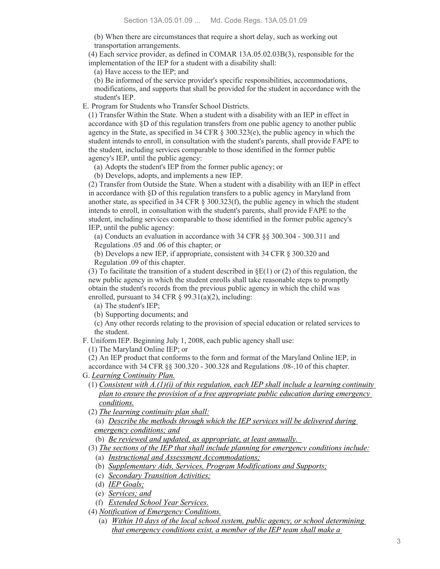(b) When there are circumstances that require a short delay, such as working out transportation arrangements.

(4) Each service provider, as defined in COMAR 13A.05.02.03B(3), responsible for the implementation of the IEP for a student with a disability shall:

(a) Have access to the IEP; and

(b) Be informed of the service provider's specific responsibilities, accommodations, modifications, and supports that shall be provided for the student in accordance with the student's IEP.

E. Program for Students who Transfer School Districts.

(1) Transfer Within the State. When a student with a disability with an IEP in effect in accordance with §D of this regulation transfers from one public agency to another public agency in the State, as specified in 34 CFR § 300.323(e), the public agency in which the student intends to enroll, in consultation with the student's parents, shall provide FAPE to the student, including services comparable to those identified in the former public agency's IEP, until the public agency:

(a) Adopts the student's IEP from the former public agency; or

(b) Develops, adopts, and implements a new IEP.

(2) Transfer from Outside the State. When a student with a disability with an IEP in effect in accordance with §D of this regulation transfers to a public agency in Maryland from another state, as specified in 34 CFR § 300.323(f), the public agency in which the student intends to enroll, in consultation with the student's parents, shall provide FAPE to the student, including services comparable to those identified in the former public agency's IEP, until the public agency:

(a) Conducts an evaluation in accordance with 34 CFR §§ 300.304 - 300.311 and Regulations .05 and .06 of this chapter; or

(b) Develops a new IEP, if appropriate, consistent with 34 CFR § 300.320 and Regulation .09 of this chapter.

(3) To facilitate the transition of a student described in  $\Sigma(1)$  or (2) of this regulation, the new public agency in which the student enrolls shall take reasonable steps to promptly obtain the student's records from the previous public agency in which the child was enrolled, pursuant to 34 CFR  $\S$  99.31(a)(2), including:

(a) The student's IEP;

(b) Supporting documents; and

(c) Any other records relating to the provision of special education or related services to the student.

F. Uniform IEP. Beginning July 1, 2008, each public agency shall use:

(1) The Maryland Online IEP; or

(2) An IEP product that conforms to the form and format of the Maryland Online IEP, in accordance with 34 CFR §§ 300.320 - 300.328 and Regulations .08-.10 of this chapter.

G. *Learning Continuity Plan.*

- (1) *Consistent with A.(1)(i) of this regulation, each IEP shall include a learning continuity plan to ensure the provision of a free appropriate public education during emergency conditions.*
- (2) *The learning continuity plan shall:*

(a) *Describe the methods through which the IEP services will be delivered during emergency conditions; and*

(b) *Be reviewed and updated, as appropriate, at least annually.* 

- (3) *The sections of the IEP that shall include planning for emergency conditions include:*
	- (a) *Instructional and Assessment Accommodations;*
	- (b) *Supplementary Aids, Services, Program Modifications and Supports;*
	- (c) *Secondary Transition Activities;*
	- (d) *IEP Goals;*
	- (e) *Services; and*
	- (f) *Extended School Year Services.*
- (4) *Notification of Emergency Conditions.*
	- (a) *Within 10 days of the local school system, public agency, or school determining that emergency conditions exist, a member of the IEP team shall make a*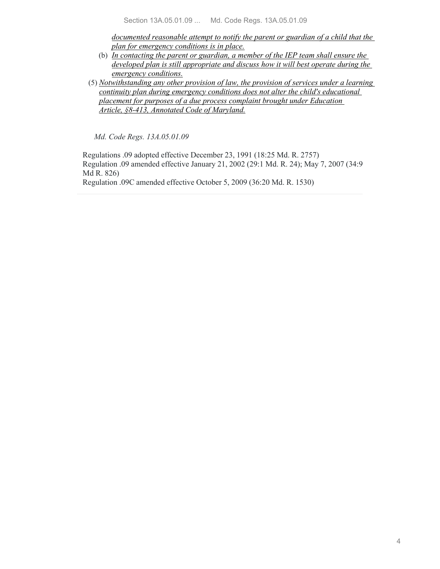*documented reasonable attempt to notify the parent or guardian of a child that the plan for emergency conditions is in place.*

- (b) *In contacting the parent or guardian, a member of the IEP team shall ensure the developed plan is still appropriate and discuss how it will best operate during the emergency conditions.*
- (5) *Notwithstanding any other provision of law, the provision of services under a learning continuity plan during emergency conditions does not alter the child's educational placement for purposes of a due process complaint brought under Education Article, §8-413, Annotated Code of Maryland.*

*Md. Code Regs. 13A.05.01.09*

Regulations .09 adopted effective December 23, 1991 (18:25 Md. R. 2757) Regulation .09 amended effective January 21, 2002 (29:1 Md. R. 24); May 7, 2007 (34:9 Md R. 826)

Regulation .09C amended effective October 5, 2009 (36:20 Md. R. 1530)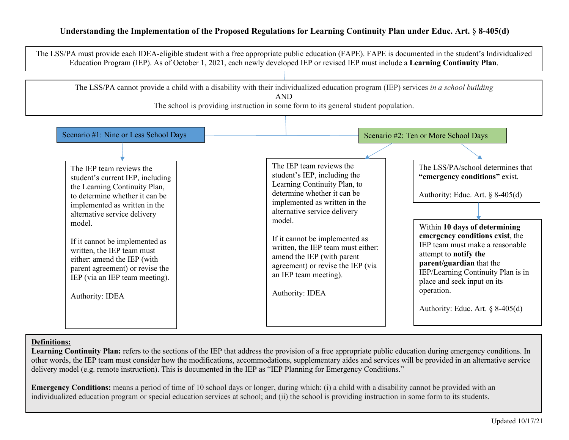## **Understanding the Implementation of the Proposed Regulations for Learning Continuity Plan under Educ. Art.** § **8-405(d)**



### **Definitions:**

Learning Continuity Plan: refers to the sections of the IEP that address the provision of a free appropriate public education during emergency conditions. In other words, the IEP team must consider how the modifications, accommodations, supplementary aides and services will be provided in an alternative service delivery model (e.g. remote instruction). This is documented in the IEP as "IEP Planning for Emergency Conditions."

**Emergency Conditions:** means a period of time of 10 school days or longer, during which: (i) a child with a disability cannot be provided with an individualized education program or special education services at school; and (ii) the school is providing instruction in some form to its students.